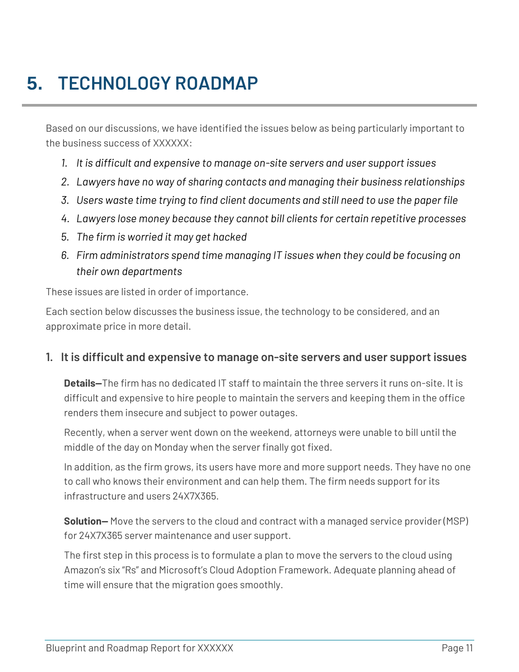# **5. TECHNOLOGY ROADMAP**

Based on our discussions, we have identified the issues below as being particularly important to the business success of XXXXXX:

- *1. It is difficult and expensive to manage on-site servers and user support issues*
- *2. Lawyers have no way of sharing contacts and managing their business relationships*
- *3. Users waste time trying to find client documents and still need to use the paper file*
- *4. Lawyers lose money because they cannot bill clients for certain repetitive processes*
- *5. The firm is worried it may get hacked*
- *6. Firm administrators spend time managing IT issues when they could be focusing on their own departments*

These issues are listed in order of importance.

Each section below discusses the business issue, the technology to be considered, and an approximate price in more detail.

#### **1. It is difficult and expensive to manage on-site servers and user support issues**

**Details—**The firm has no dedicated IT staff to maintain the three servers it runs on-site. It is difficult and expensive to hire people to maintain the servers and keeping them in the office renders them insecure and subject to power outages.

Recently, when a server went down on the weekend, attorneys were unable to bill until the middle of the day on Monday when the server finally got fixed.

In addition, as the firm grows, its users have more and more support needs. They have no one to call who knows their environment and can help them. The firm needs support for its infrastructure and users 24X7X365.

**Solution—** Move the servers to the cloud and contract with a managed service provider (MSP) for 24X7X365 server maintenance and user support.

The first step in this process is to formulate a plan to move the servers to the cloud using Amazon's six "Rs" and Microsoft's Cloud Adoption Framework. Adequate planning ahead of time will ensure that the migration goes smoothly.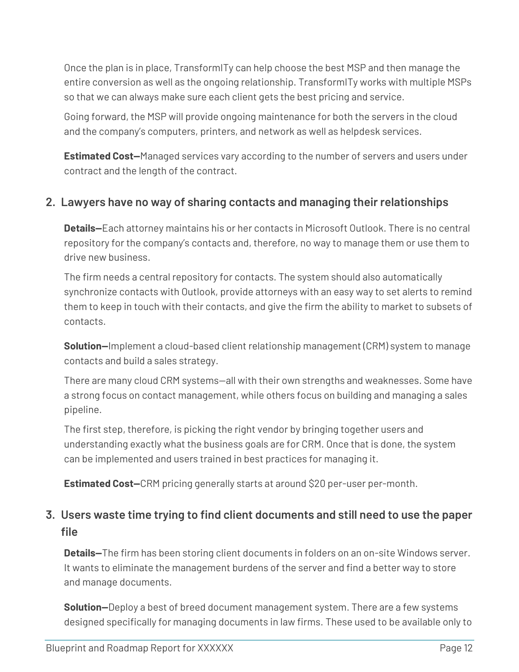Once the plan is in place, TransformITy can help choose the best MSP and then manage the entire conversion as well as the ongoing relationship. TransformITy works with multiple MSPs so that we can always make sure each client gets the best pricing and service.

Going forward, the MSP will provide ongoing maintenance for both the servers in the cloud and the company's computers, printers, and network as well as helpdesk services.

**Estimated Cost—**Managed services vary according to the number of servers and users under contract and the length of the contract.

### **2. Lawyers have no way of sharing contacts and managing their relationships**

**Details—**Each attorney maintains his or her contacts in Microsoft Outlook. There is no central repository for the company's contacts and, therefore, no way to manage them or use them to drive new business.

The firm needs a central repository for contacts. The system should also automatically synchronize contacts with Outlook, provide attorneys with an easy way to set alerts to remind them to keep in touch with their contacts, and give the firm the ability to market to subsets of contacts.

**Solution—**Implement a cloud-based client relationship management (CRM) system to manage contacts and build a sales strategy.

There are many cloud CRM systems—all with their own strengths and weaknesses. Some have a strong focus on contact management, while others focus on building and managing a sales pipeline.

The first step, therefore, is picking the right vendor by bringing together users and understanding exactly what the business goals are for CRM. Once that is done, the system can be implemented and users trained in best practices for managing it.

**Estimated Cost—**CRM pricing generally starts at around \$20 per-user per-month.

## **3. Users waste time trying to find client documents and still need to use the paper file**

**Details—**The firm has been storing client documents in folders on an on-site Windows server. It wants to eliminate the management burdens of the server and find a better way to store and manage documents.

**Solution—**Deploy a best of breed document management system. There are a few systems designed specifically for managing documents in law firms. These used to be available only to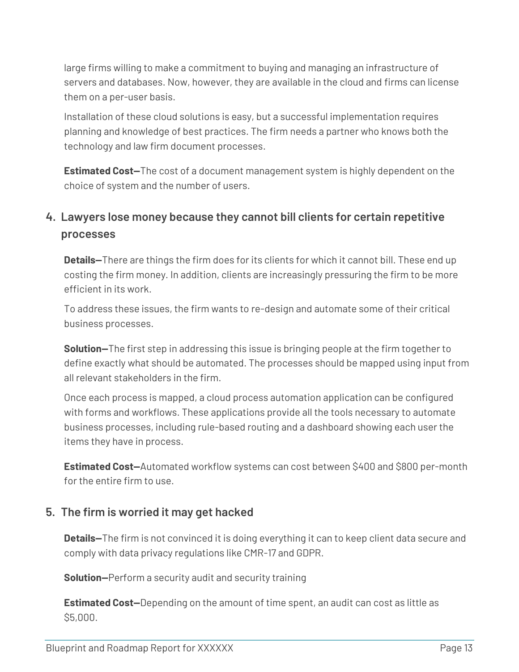large firms willing to make a commitment to buying and managing an infrastructure of servers and databases. Now, however, they are available in the cloud and firms can license them on a per-user basis.

Installation of these cloud solutions is easy, but a successful implementation requires planning and knowledge of best practices. The firm needs a partner who knows both the technology and law firm document processes.

**Estimated Cost—**The cost of a document management system is highly dependent on the choice of system and the number of users.

## **4. Lawyers lose money because they cannot bill clients for certain repetitive processes**

**Details—**There are things the firm does for its clients for which it cannot bill. These end up costing the firm money. In addition, clients are increasingly pressuring the firm to be more efficient in its work.

To address these issues, the firm wants to re-design and automate some of their critical business processes.

**Solution—**The first step in addressing this issue is bringing people at the firm together to define exactly what should be automated. The processes should be mapped using input from all relevant stakeholders in the firm.

Once each process is mapped, a cloud process automation application can be configured with forms and workflows. These applications provide all the tools necessary to automate business processes, including rule-based routing and a dashboard showing each user the items they have in process.

**Estimated Cost—**Automated workflow systems can cost between \$400 and \$800 per-month for the entire firm to use.

#### **5. The firm is worried it may get hacked**

**Details—**The firm is not convinced it is doing everything it can to keep client data secure and comply with data privacy regulations like CMR-17 and GDPR.

**Solution—**Perform a security audit and security training

**Estimated Cost—**Depending on the amount of time spent, an audit can cost as little as \$5,000.